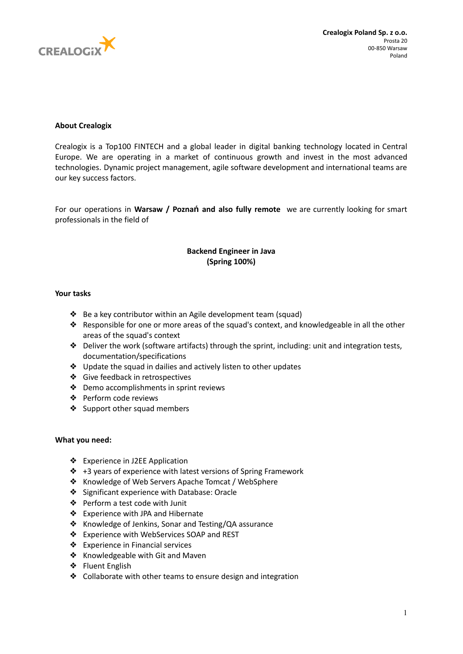

## **About Crealogix**

Crealogix is a Top100 FINTECH and a global leader in digital banking technology located in Central Europe. We are operating in a market of continuous growth and invest in the most advanced technologies. Dynamic project management, agile software development and international teams are our key success factors.

For our operations in **Warsaw / Poznań and also fully remote** we are currently looking for smart professionals in the field of

# **Backend Engineer in Java (Spring 100%)**

### **Your tasks**

- ❖ Be a key contributor within an Agile development team (squad)
- $\triangle$  Responsible for one or more areas of the squad's context, and knowledgeable in all the other areas of the squad's context
- ❖ Deliver the work (software artifacts) through the sprint, including: unit and integration tests, documentation/specifications
- ❖ Update the squad in dailies and actively listen to other updates
- ❖ Give feedback in retrospectives
- ❖ Demo accomplishments in sprint reviews
- ❖ Perform code reviews
- ❖ Support other squad members

### **What you need:**

- ❖ Experience in J2EE Application
- ❖ +3 years of experience with latest versions of Spring Framework
- ❖ Knowledge of Web Servers Apache Tomcat / WebSphere
- ❖ Significant experience with Database: Oracle
- ❖ Perform a test code with Junit
- ❖ Experience with JPA and Hibernate
- ❖ Knowledge of Jenkins, Sonar and Testing/QA assurance
- ❖ Experience with WebServices SOAP and REST
- ❖ Experience in Financial services
- ❖ Knowledgeable with Git and Maven
- ❖ Fluent English
- ❖ Collaborate with other teams to ensure design and integration